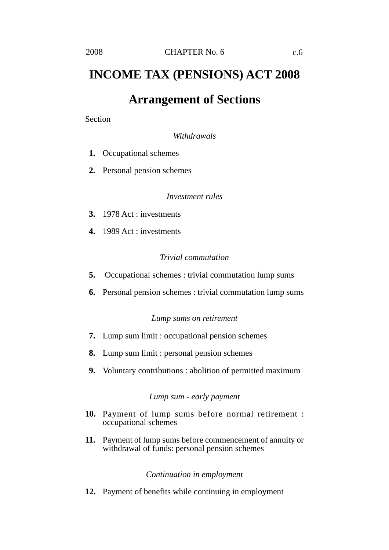# **INCOME TAX (PENSIONS) ACT 2008**

## **Arrangement of Sections**

Section

*Withdrawals*

- **1.** Occupational schemes
- **2.** Personal pension schemes

### *Investment rules*

- **3.** 1978 Act : investments
- **4.** 1989 Act : investments

### *Trivial commutation*

- **5.** Occupational schemes : trivial commutation lump sums
- **6.** Personal pension schemes : trivial commutation lump sums

### *Lump sums on retirement*

- **7.** Lump sum limit : occupational pension schemes
- **8.** Lump sum limit : personal pension schemes
- **9.** Voluntary contributions : abolition of permitted maximum

### *Lump sum - early payment*

- **10.** Payment of lump sums before normal retirement : occupational schemes
- **11.** Payment of lump sums before commencement of annuity or withdrawal of funds: personal pension schemes

### *Continuation in employment*

**12.** Payment of benefits while continuing in employment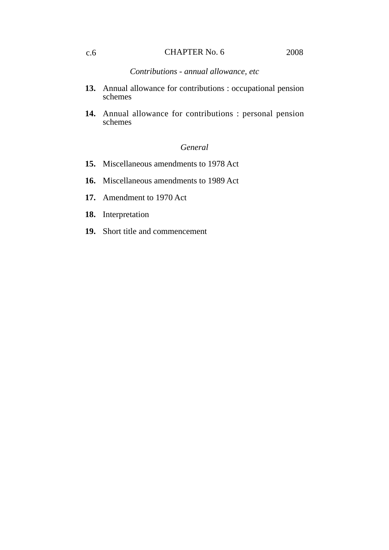### CHAPTER No. 6 c.6 2008

*Contributions - annual allowance, etc*

- **13.** Annual allowance for contributions : occupational pension schemes
- **14.** Annual allowance for contributions : personal pension schemes

### *General*

- **15.** Miscellaneous amendments to 1978 Act
- **16.** Miscellaneous amendments to 1989 Act
- **17.** Amendment to 1970 Act
- **18.** Interpretation
- **19.** Short title and commencement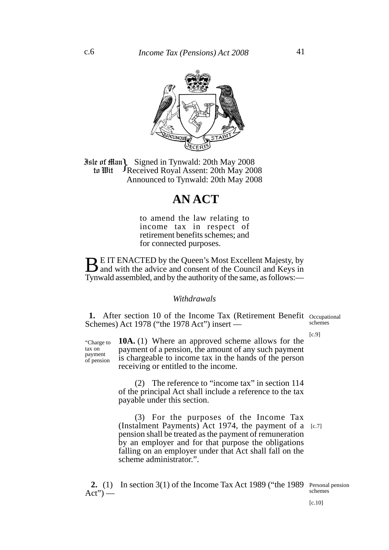

**Jule of Ham Signed in Tynwald: 20th May 2008**<br>**10 IIII PReceived Royal Assent: 20th May 2008** Received Royal Assent: 20th May 2008 Announced to Tynwald: 20th May 2008 to Wit

# **AN ACT**

to amend the law relating to income tax in respect of retirement benefits schemes; and for connected purposes.

**BUT ENACTED by the Queen's Most Excellent Majesty, by** and with the advice and consent of the Council and Keys in Tynwald assembled, and by the authority of the same, as follows:—

### *Withdrawals*

1. After section 10 of the Income Tax (Retirement Benefit Occupational Schemes) Act 1978 ("the 1978 Act") insert schemes

[c.9]

"Charge to tax on payment of pension

**10A.** (1) Where an approved scheme allows for the payment of a pension, the amount of any such payment is chargeable to income tax in the hands of the person receiving or entitled to the income.

(2) The reference to "income tax" in section 114 of the principal Act shall include a reference to the tax payable under this section.

(3) For the purposes of the Income Tax (Instalment Payments) Act 1974, the payment of a [c.7] pension shall be treated as the payment of remuneration by an employer and for that purpose the obligations falling on an employer under that Act shall fall on the scheme administrator.".

 **2.** (1) In section 3(1) of the Income Tax Act 1989 ("the 1989  $Act")$  — Personal pension schemes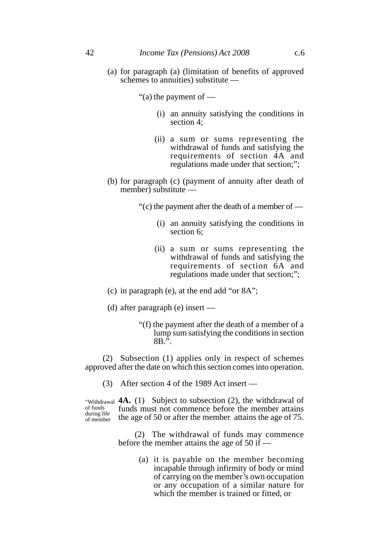- (a) for paragraph (a) (limitation of benefits of approved schemes to annuities) substitute —
	- "(a) the payment of
		- (i) an annuity satisfying the conditions in section 4;
		- (ii) a sum or sums representing the withdrawal of funds and satisfying the requirements of section 4A and regulations made under that section;";
- (b) for paragraph (c) (payment of annuity after death of member) substitute —
	- "(c) the payment after the death of a member of
		- (i) an annuity satisfying the conditions in section 6;
		- (ii) a sum or sums representing the withdrawal of funds and satisfying the requirements of section 6A and regulations made under that section;";
- (c) in paragraph (e), at the end add "or 8A";
- (d) after paragraph (e) insert
	- "(f) the payment after the death of a member of a lump sum satisfying the conditions in section 8B.".

(2) Subsection (1) applies only in respect of schemes approved after the date on which this section comes into operation.

(3) After section 4 of the 1989 Act insert —

"Withdrawal **4A.** (1) Subject to subsection (2), the withdrawal of funds must not commence before the member attains the age of 50 or after the member attains the age of 75. of funds during life of member

> (2) The withdrawal of funds may commence before the member attains the age of 50 if —

> > (a) it is payable on the member becoming incapable through infirmity of body or mind of carrying on the member's own occupation or any occupation of a similar nature for which the member is trained or fitted, or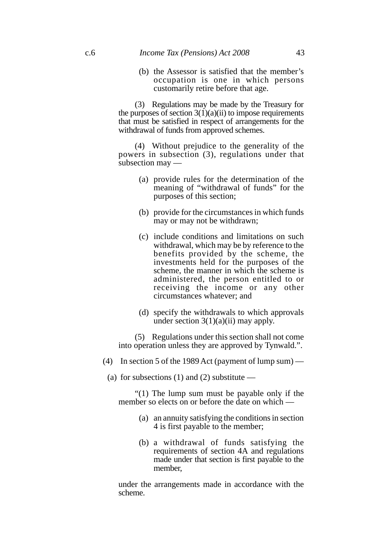(b) the Assessor is satisfied that the member's occupation is one in which persons customarily retire before that age.

(3) Regulations may be made by the Treasury for the purposes of section  $3(1)(a)(ii)$  to impose requirements that must be satisfied in respect of arrangements for the withdrawal of funds from approved schemes.

(4) Without prejudice to the generality of the powers in subsection (3), regulations under that subsection may —

- (a) provide rules for the determination of the meaning of "withdrawal of funds" for the purposes of this section;
- (b) provide for the circumstances in which funds may or may not be withdrawn;
- (c) include conditions and limitations on such withdrawal, which may be by reference to the benefits provided by the scheme, the investments held for the purposes of the scheme, the manner in which the scheme is administered, the person entitled to or receiving the income or any other circumstances whatever; and
- (d) specify the withdrawals to which approvals under section  $3(1)(a)(ii)$  may apply.

(5) Regulations under this section shall not come into operation unless they are approved by Tynwald.".

- (4) In section 5 of the 1989 Act (payment of lump sum)
	- (a) for subsections  $(1)$  and  $(2)$  substitute —

"(1) The lump sum must be payable only if the member so elects on or before the date on which —

- (a) an annuity satisfying the conditions in section 4 is first payable to the member;
- (b) a withdrawal of funds satisfying the requirements of section 4A and regulations made under that section is first payable to the member,

under the arrangements made in accordance with the scheme.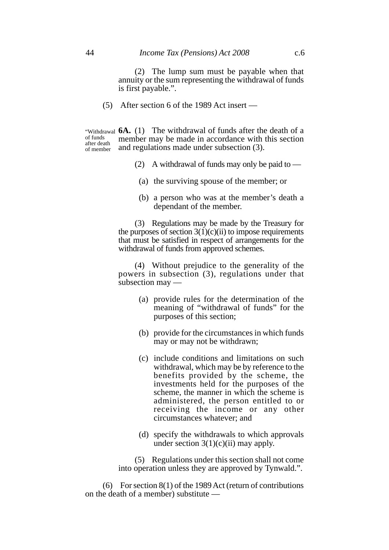(2) The lump sum must be payable when that annuity or the sum representing the withdrawal of funds is first payable.".

(5) After section 6 of the 1989 Act insert —

"Withdrawal **6A.** (1) The withdrawal of funds after the death of a member may be made in accordance with this section and regulations made under subsection (3). of funds after death of member

- (2) A withdrawal of funds may only be paid to  $-$ 
	- (a) the surviving spouse of the member; or
	- (b) a person who was at the member's death a dependant of the member.

(3) Regulations may be made by the Treasury for the purposes of section  $3(1)(c)(ii)$  to impose requirements that must be satisfied in respect of arrangements for the withdrawal of funds from approved schemes.

(4) Without prejudice to the generality of the powers in subsection (3), regulations under that subsection may —

- (a) provide rules for the determination of the meaning of "withdrawal of funds" for the purposes of this section;
- (b) provide for the circumstances in which funds may or may not be withdrawn;
- (c) include conditions and limitations on such withdrawal, which may be by reference to the benefits provided by the scheme, the investments held for the purposes of the scheme, the manner in which the scheme is administered, the person entitled to or receiving the income or any other circumstances whatever; and
- (d) specify the withdrawals to which approvals under section  $3(1)(c)(ii)$  may apply.

(5) Regulations under this section shall not come into operation unless they are approved by Tynwald.".

(6) For section 8(1) of the 1989 Act (return of contributions on the death of a member) substitute —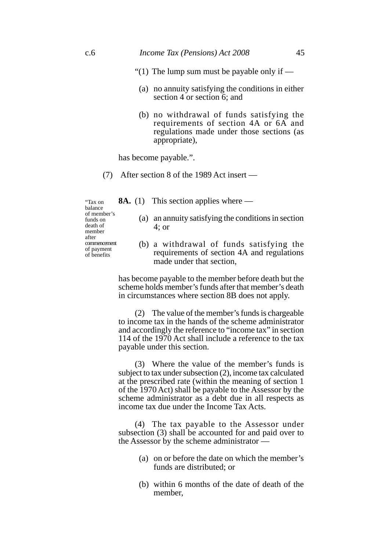- "(1) The lump sum must be payable only if  $-$ 
	- (a) no annuity satisfying the conditions in either section 4 or section 6; and
	- (b) no withdrawal of funds satisfying the requirements of section 4A or 6A and regulations made under those sections (as appropriate),

has become payable.".

- (7) After section 8 of the 1989 Act insert
	- **8A.** (1) This section applies where —

"Tax on balance of member's funds on death of member after commencement of payment of benefits

- (a) an annuity satisfying the conditions in section 4; or
- (b) a withdrawal of funds satisfying the requirements of section 4A and regulations made under that section,

has become payable to the member before death but the scheme holds member's funds after that member's death in circumstances where section 8B does not apply.

(2) The value of the member's funds is chargeable to income tax in the hands of the scheme administrator and accordingly the reference to "income tax" in section 114 of the 1970 Act shall include a reference to the tax payable under this section.

(3) Where the value of the member's funds is subject to tax under subsection (2), income tax calculated at the prescribed rate (within the meaning of section 1 of the 1970 Act) shall be payable to the Assessor by the scheme administrator as a debt due in all respects as income tax due under the Income Tax Acts.

(4) The tax payable to the Assessor under subsection (3) shall be accounted for and paid over to the Assessor by the scheme administrator —

- (a) on or before the date on which the member's funds are distributed; or
- (b) within 6 months of the date of death of the member,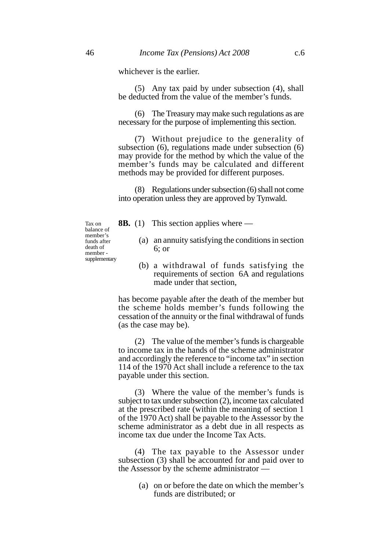whichever is the earlier.

(5) Any tax paid by under subsection (4), shall be deducted from the value of the member's funds.

(6) The Treasury may make such regulations as are necessary for the purpose of implementing this section.

(7) Without prejudice to the generality of subsection (6), regulations made under subsection (6) may provide for the method by which the value of the member's funds may be calculated and different methods may be provided for different purposes.

(8) Regulations under subsection (6) shall not come into operation unless they are approved by Tynwald.

Tax on balance of member's funds after death of member supplementary

- **8B.** (1) This section applies where
	- (a) an annuity satisfying the conditions in section 6; or
	- (b) a withdrawal of funds satisfying the requirements of section 6A and regulations made under that section,

has become payable after the death of the member but the scheme holds member's funds following the cessation of the annuity or the final withdrawal of funds (as the case may be).

(2) The value of the member's funds is chargeable to income tax in the hands of the scheme administrator and accordingly the reference to "income tax" in section 114 of the 1970 Act shall include a reference to the tax payable under this section.

(3) Where the value of the member's funds is subject to tax under subsection (2), income tax calculated at the prescribed rate (within the meaning of section 1 of the 1970 Act) shall be payable to the Assessor by the scheme administrator as a debt due in all respects as income tax due under the Income Tax Acts.

(4) The tax payable to the Assessor under subsection (3) shall be accounted for and paid over to the Assessor by the scheme administrator —

> (a) on or before the date on which the member's funds are distributed; or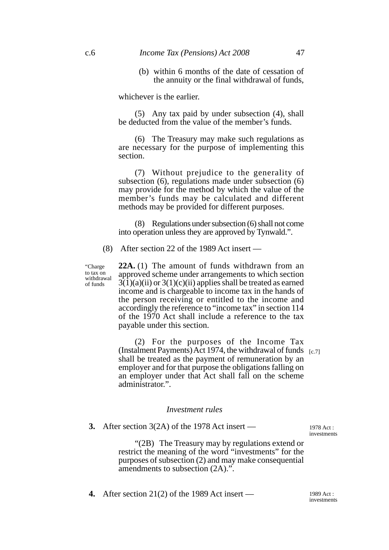### c.6 *Income Tax (Pensions) Act 2008* 47

(b) within 6 months of the date of cessation of the annuity or the final withdrawal of funds,

whichever is the earlier.

(5) Any tax paid by under subsection (4), shall be deducted from the value of the member's funds.

(6) The Treasury may make such regulations as are necessary for the purpose of implementing this section.

(7) Without prejudice to the generality of subsection (6), regulations made under subsection (6) may provide for the method by which the value of the member's funds may be calculated and different methods may be provided for different purposes.

(8) Regulations under subsection (6) shall not come into operation unless they are approved by Tynwald.".

(8) After section 22 of the 1989 Act insert —

"Charge to tax on withdrawal of funds

**22A.** (1) The amount of funds withdrawn from an approved scheme under arrangements to which section  $3(1)(a)(ii)$  or  $3(1)(c)(ii)$  applies shall be treated as earned income and is chargeable to income tax in the hands of the person receiving or entitled to the income and accordingly the reference to "income tax" in section 114 of the 1970 Act shall include a reference to the tax payable under this section.

(2) For the purposes of the Income Tax (Instalment Payments) Act 1974, the withdrawal of funds [c.7] shall be treated as the payment of remuneration by an employer and for that purpose the obligations falling on an employer under that Act shall fall on the scheme administrator.".

### *Investment rules*

**3.** After section 3(2A) of the 1978 Act insert —

1978 Act : investments

"(2B) The Treasury may by regulations extend or restrict the meaning of the word "investments" for the purposes of subsection (2) and may make consequential amendments to subsection (2A).".

**4.** After section 21(2) of the 1989 Act insert — 1989 Act :

investments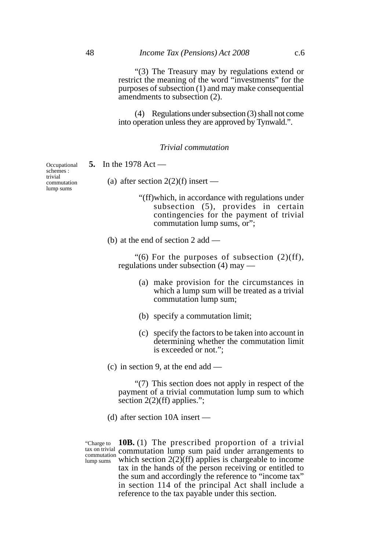"(3) The Treasury may by regulations extend or restrict the meaning of the word "investments" for the purposes of subsection (1) and may make consequential amendments to subsection (2).

(4) Regulations under subsection (3) shall not come into operation unless they are approved by Tynwald.".

### *Trivial commutation*

**5.** In the 1978 Act —

(a) after section  $2(2)(f)$  insert —

"(ff)which, in accordance with regulations under subsection (5), provides in certain contingencies for the payment of trivial commutation lump sums, or";

(b) at the end of section 2 add —

"(6) For the purposes of subsection  $(2)(ff)$ , regulations under subsection (4) may —

- (a) make provision for the circumstances in which a lump sum will be treated as a trivial commutation lump sum;
- (b) specify a commutation limit;
- (c) specify the factors to be taken into account in determining whether the commutation limit is exceeded or not.";

(c) in section 9, at the end add —

"(7) This section does not apply in respect of the payment of a trivial commutation lump sum to which section 2(2)(ff) applies.";

(d) after section 10A insert —

"Charge to commutation lump sums

**10B.** (1) The prescribed proportion of a trivial  $\frac{\text{tax on trivial}}{\text{commutation}}$  commutation lump sum paid under arrangements to which section  $2(2)$ (ff) applies is chargeable to income tax in the hands of the person receiving or entitled to the sum and accordingly the reference to "income tax" in section 114 of the principal Act shall include a reference to the tax payable under this section.

**Occupational** schemes : trivial commutation lump sums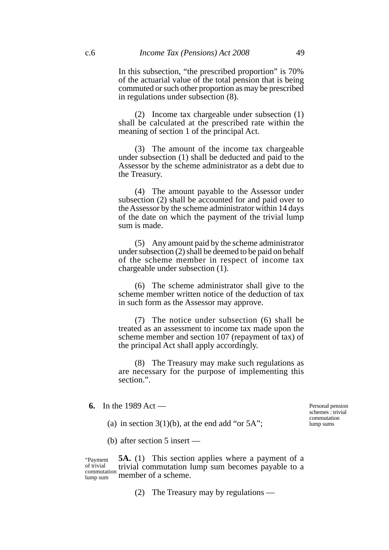In this subsection, "the prescribed proportion" is 70% of the actuarial value of the total pension that is being commuted or such other proportion as may be prescribed in regulations under subsection (8).

(2) Income tax chargeable under subsection (1) shall be calculated at the prescribed rate within the meaning of section 1 of the principal Act.

(3) The amount of the income tax chargeable under subsection (1) shall be deducted and paid to the Assessor by the scheme administrator as a debt due to the Treasury.

(4) The amount payable to the Assessor under subsection (2) shall be accounted for and paid over to the Assessor by the scheme administrator within 14 days of the date on which the payment of the trivial lump sum is made.

(5) Any amount paid by the scheme administrator under subsection (2) shall be deemed to be paid on behalf of the scheme member in respect of income tax chargeable under subsection (1).

(6) The scheme administrator shall give to the scheme member written notice of the deduction of tax in such form as the Assessor may approve.

(7) The notice under subsection (6) shall be treated as an assessment to income tax made upon the scheme member and section 107 (repayment of tax) of the principal Act shall apply accordingly.

(8) The Treasury may make such regulations as are necessary for the purpose of implementing this section.".

**6.** In the 1989 Act —

Personal pension schemes : trivial commutation lump sums

(a) in section  $3(1)(b)$ , at the end add "or  $5A$ ";

(b) after section 5 insert —

**5A.** (1) This section applies where a payment of a trivial commutation lump sum becomes payable to a member of a scheme. "Payment of trivial commutation lump sum

(2) The Treasury may by regulations —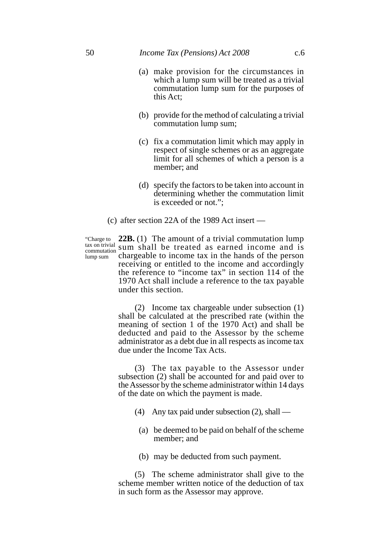- (a) make provision for the circumstances in which a lump sum will be treated as a trivial commutation lump sum for the purposes of this Act;
- (b) provide for the method of calculating a trivial commutation lump sum;
- (c) fix a commutation limit which may apply in respect of single schemes or as an aggregate limit for all schemes of which a person is a member; and
- (d) specify the factors to be taken into account in determining whether the commutation limit is exceeded or not.";
- (c) after section 22A of the 1989 Act insert —

"Charge to tax on trivial commutation lump sum

**22B.** (1) The amount of a trivial commutation lump sum shall be treated as earned income and is chargeable to income tax in the hands of the person receiving or entitled to the income and accordingly the reference to "income tax" in section 114 of the 1970 Act shall include a reference to the tax payable under this section.

(2) Income tax chargeable under subsection (1) shall be calculated at the prescribed rate (within the meaning of section 1 of the 1970 Act) and shall be deducted and paid to the Assessor by the scheme administrator as a debt due in all respects as income tax due under the Income Tax Acts.

(3) The tax payable to the Assessor under subsection (2) shall be accounted for and paid over to the Assessor by the scheme administrator within 14 days of the date on which the payment is made.

- (4) Any tax paid under subsection (2), shall
	- (a) be deemed to be paid on behalf of the scheme member; and
	- (b) may be deducted from such payment.

(5) The scheme administrator shall give to the scheme member written notice of the deduction of tax in such form as the Assessor may approve.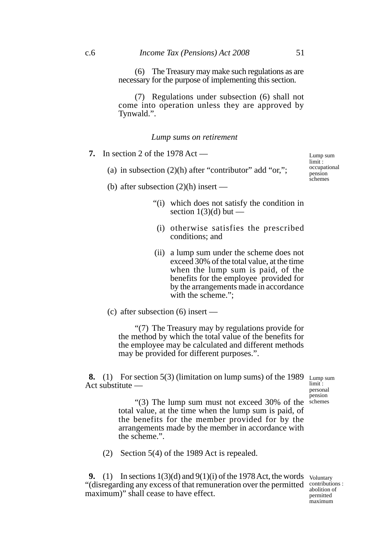(6) The Treasury may make such regulations as are necessary for the purpose of implementing this section.

(7) Regulations under subsection (6) shall not come into operation unless they are approved by Tynwald.".

#### *Lump sums on retirement*

**7.** In section 2 of the 1978 Act —

- (a) in subsection  $(2)(h)$  after "contributor" add "or,";
- (b) after subsection  $(2)(h)$  insert
	- "(i) which does not satisfy the condition in section  $1(3)(d)$  but —
	- (i) otherwise satisfies the prescribed conditions; and
	- (ii) a lump sum under the scheme does not exceed 30% of the total value, at the time when the lump sum is paid, of the benefits for the employee provided for by the arrangements made in accordance with the scheme.":

(c) after subsection (6) insert —

"(7) The Treasury may by regulations provide for the method by which the total value of the benefits for the employee may be calculated and different methods may be provided for different purposes.".

**8.** (1) For section 5(3) (limitation on lump sums) of the 1989 Act substitute —

Lump sum limit : personal pension

"(3) The lump sum must not exceed 30% of the schemes total value, at the time when the lump sum is paid, of the benefits for the member provided for by the arrangements made by the member in accordance with the scheme.".

(2) Section 5(4) of the 1989 Act is repealed.

**9.** (1) In sections  $1(3)(d)$  and  $9(1)(i)$  of the 1978 Act, the words Voluntary "(disregarding any excess of that remuneration over the permitted maximum)" shall cease to have effect.

contributions : abolition of permitted maximum

Lump sum limit: occupational pension schemes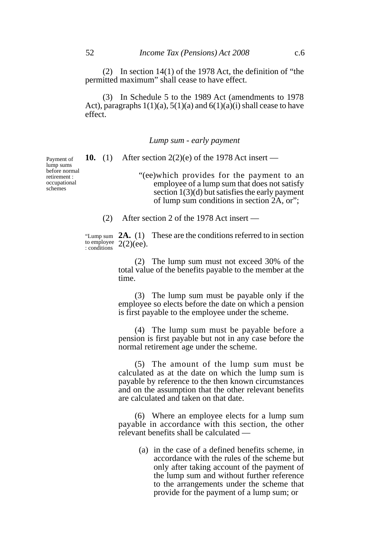(2) In section 14(1) of the 1978 Act, the definition of "the permitted maximum" shall cease to have effect.

(3) In Schedule 5 to the 1989 Act (amendments to 1978 Act), paragraphs  $1(1)(a)$ ,  $5(1)(a)$  and  $6(1)(a)(i)$  shall cease to have effect.

*Lump sum - early payment*

**10.** (1) After section 2(2)(e) of the 1978 Act insert —

"(ee)which provides for the payment to an employee of a lump sum that does not satisfy section 1(3)(d) but satisfies the early payment of lump sum conditions in section 2A, or";

(2) After section 2 of the 1978 Act insert —

"Lump sum  $2A. (1)$  These are the conditions referred to in section to employee  $2(2)(ee)$ . : conditions

> (2) The lump sum must not exceed 30% of the total value of the benefits payable to the member at the time.

> (3) The lump sum must be payable only if the employee so elects before the date on which a pension is first payable to the employee under the scheme.

> (4) The lump sum must be payable before a pension is first payable but not in any case before the normal retirement age under the scheme.

> (5) The amount of the lump sum must be calculated as at the date on which the lump sum is payable by reference to the then known circumstances and on the assumption that the other relevant benefits are calculated and taken on that date.

> (6) Where an employee elects for a lump sum payable in accordance with this section, the other relevant benefits shall be calculated —

> > (a) in the case of a defined benefits scheme, in accordance with the rules of the scheme but only after taking account of the payment of the lump sum and without further reference to the arrangements under the scheme that provide for the payment of a lump sum; or

Payment of lump sums before normal retirement : occupational schemes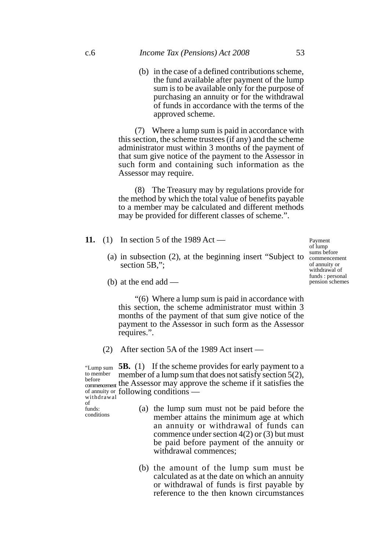(b) in the case of a defined contributions scheme, the fund available after payment of the lump sum is to be available only for the purpose of purchasing an annuity or for the withdrawal of funds in accordance with the terms of the approved scheme.

(7) Where a lump sum is paid in accordance with this section, the scheme trustees (if any) and the scheme administrator must within 3 months of the payment of that sum give notice of the payment to the Assessor in such form and containing such information as the Assessor may require.

(8) The Treasury may by regulations provide for the method by which the total value of benefits payable to a member may be calculated and different methods may be provided for different classes of scheme.".

- **11.** (1) In section 5 of the 1989 Act
	- (a) in subsection (2), at the beginning insert "Subject to section 5B.":

Payment of lump sums before commencement of annuity or withdrawal of funds : personal pension schemes

(b) at the end add —

"(6) Where a lump sum is paid in accordance with this section, the scheme administrator must within 3 months of the payment of that sum give notice of the payment to the Assessor in such form as the Assessor requires.".

(2) After section 5A of the 1989 Act insert —

"Lump sum **5B.** (1) If the scheme provides for early payment to a member of a lump sum that does not satisfy section 5(2), before  $\frac{1}{2}$  and  $\frac{1}{2}$  and  $\frac{1}{2}$  before  $\frac{1}{2}$  is  $\frac{1}{2}$  is  $\frac{1}{2}$ . of annuity or following conditions to member<br>before commencement withdrawal

of funds:

conditions

- (a) the lump sum must not be paid before the member attains the minimum age at which an annuity or withdrawal of funds can commence under section 4(2) or (3) but must be paid before payment of the annuity or withdrawal commences;
- (b) the amount of the lump sum must be calculated as at the date on which an annuity or withdrawal of funds is first payable by reference to the then known circumstances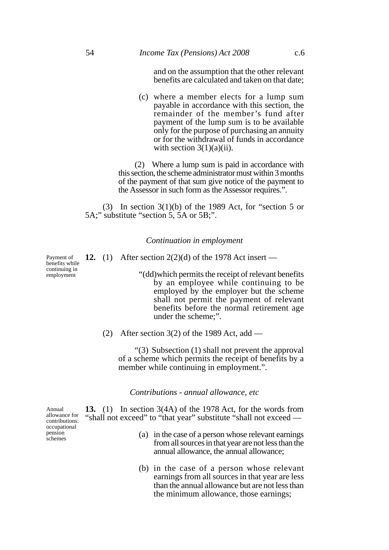and on the assumption that the other relevant benefits are calculated and taken on that date;

(c) where a member elects for a lump sum payable in accordance with this section, the remainder of the member's fund after payment of the lump sum is to be available only for the purpose of purchasing an annuity or for the withdrawal of funds in accordance with section  $3(1)(a)(ii)$ .

(2) Where a lump sum is paid in accordance with this section, the scheme administrator must within 3 months of the payment of that sum give notice of the payment to the Assessor in such form as the Assessor requires.".

(3) In section  $3(1)(b)$  of the 1989 Act, for "section 5 or 5A;" substitute "section 5, 5A or 5B;".

### *Continuation in employment*

**12.** (1) After section 2(2)(d) of the 1978 Act insert —

"(dd)which permits the receipt of relevant benefits by an employee while continuing to be employed by the employer but the scheme shall not permit the payment of relevant benefits before the normal retirement age under the scheme;".

(2) After section 3(2) of the 1989 Act, add —

"(3) Subsection (1) shall not prevent the approval of a scheme which permits the receipt of benefits by a member while continuing in employment.".

*Contributions - annual allowance, etc*

**13.** (1) In section 3(4A) of the 1978 Act, for the words from "shall not exceed" to "that year" substitute "shall not exceed —

- (a) in the case of a person whose relevant earnings from all sources in that year are not less than the annual allowance, the annual allowance;
- (b) in the case of a person whose relevant earnings from all sources in that year are less than the annual allowance but are not less than the minimum allowance, those earnings;

Annual allowance for contributions: occupational pension schemes

Payment of benefits while continuing in employment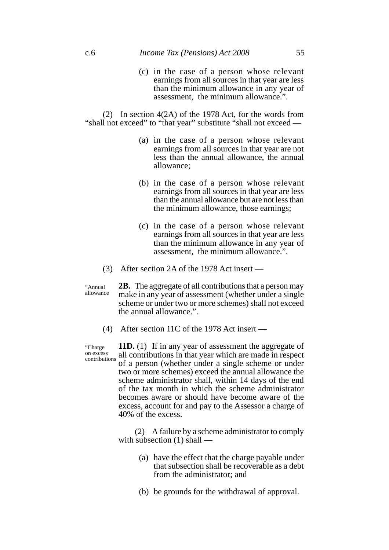(c) in the case of a person whose relevant earnings from all sources in that year are less than the minimum allowance in any year of assessment, the minimum allowance.".

(2) In section 4(2A) of the 1978 Act, for the words from "shall not exceed" to "that year" substitute "shall not exceed —

- (a) in the case of a person whose relevant earnings from all sources in that year are not less than the annual allowance, the annual allowance;
- (b) in the case of a person whose relevant earnings from all sources in that year are less than the annual allowance but are not less than the minimum allowance, those earnings;
- (c) in the case of a person whose relevant earnings from all sources in that year are less than the minimum allowance in any year of assessment, the minimum allowance.".
- (3) After section 2A of the 1978 Act insert —

**2B.** The aggregate of all contributions that a person may make in any year of assessment (whether under a single scheme or under two or more schemes) shall not exceed the annual allowance.". "Annual allowance

(4) After section 11C of the 1978 Act insert —

**11D.** (1) If in any year of assessment the aggregate of all contributions in that year which are made in respect of a person (whether under a single scheme or under two or more schemes) exceed the annual allowance the scheme administrator shall, within 14 days of the end of the tax month in which the scheme administrator becomes aware or should have become aware of the excess, account for and pay to the Assessor a charge of 40% of the excess. contributions

> (2) A failure by a scheme administrator to comply with subsection (1) shall —

- (a) have the effect that the charge payable under that subsection shall be recoverable as a debt from the administrator; and
- (b) be grounds for the withdrawal of approval.

"Charge on excess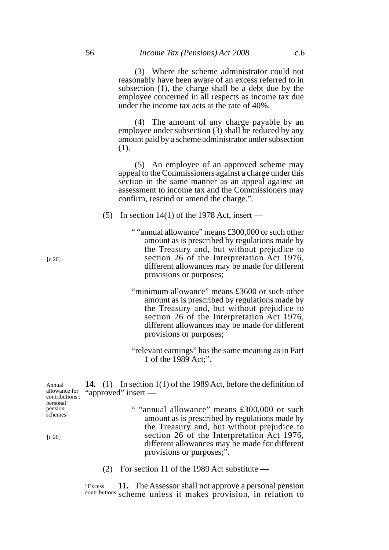(3) Where the scheme administrator could not reasonably have been aware of an excess referred to in subsection (1), the charge shall be a debt due by the employee concerned in all respects as income tax due under the income tax acts at the rate of 40%.

(4) The amount of any charge payable by an employee under subsection (3) shall be reduced by any amount paid by a scheme administrator under subsection (1).

(5) An employee of an approved scheme may appeal to the Commissioners against a charge under this section in the same manner as an appeal against an assessment to income tax and the Commissioners may confirm, rescind or amend the charge.".

- (5) In section 14(1) of the 1978 Act, insert
	- " "annual allowance" means £300,000 or such other amount as is prescribed by regulations made by the Treasury and, but without prejudice to section 26 of the Interpretation Act 1976, different allowances may be made for different provisions or purposes;
	- "minimum allowance" means £3600 or such other amount as is prescribed by regulations made by the Treasury and, but without prejudice to section 26 of the Interpretation Act 1976, different allowances may be made for different provisions or purposes;
	- "relevant earnings" has the same meaning as in Part 1 of the 1989 Act;".

| Annual<br>allowance for<br>contributions: | 14. (1) In section $1(1)$ of the 1989 Act, before the definition of<br>"approved" insert —                                                 |
|-------------------------------------------|--------------------------------------------------------------------------------------------------------------------------------------------|
| personal<br>pension<br>schemes            | " "annual allowance" means £300,000 or such<br>amount as is prescribed by regulations made by                                              |
| [c.20]                                    | the Treasury and, but without prejudice to<br>section 26 of the Interpretation Act 1976,<br>different allowances may be made for different |

(2) For section 11 of the 1989 Act substitute —

provisions or purposes;".

**11.** The Assessor shall not approve a personal pension contributions scheme unless it makes provision, in relation to "Excess

[c.20]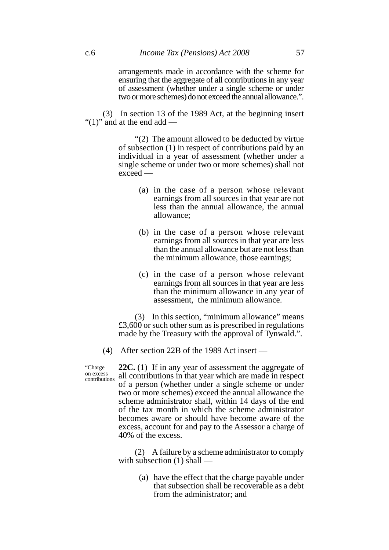arrangements made in accordance with the scheme for ensuring that the aggregate of all contributions in any year of assessment (whether under a single scheme or under two or more schemes) do not exceed the annual allowance.".

(3) In section 13 of the 1989 Act, at the beginning insert " $(1)$ " and at the end add —

> "(2) The amount allowed to be deducted by virtue of subsection (1) in respect of contributions paid by an individual in a year of assessment (whether under a single scheme or under two or more schemes) shall not exceed —

- (a) in the case of a person whose relevant earnings from all sources in that year are not less than the annual allowance, the annual allowance;
- (b) in the case of a person whose relevant earnings from all sources in that year are less than the annual allowance but are not less than the minimum allowance, those earnings;
- (c) in the case of a person whose relevant earnings from all sources in that year are less than the minimum allowance in any year of assessment, the minimum allowance.

(3) In this section, "minimum allowance" means £3,600 or such other sum as is prescribed in regulations made by the Treasury with the approval of Tynwald.".

(4) After section 22B of the 1989 Act insert —

"Charge on excess contributions

**22C.** (1) If in any year of assessment the aggregate of all contributions in that year which are made in respect of a person (whether under a single scheme or under two or more schemes) exceed the annual allowance the scheme administrator shall, within 14 days of the end of the tax month in which the scheme administrator becomes aware or should have become aware of the excess, account for and pay to the Assessor a charge of 40% of the excess.

(2) A failure by a scheme administrator to comply with subsection (1) shall —

> (a) have the effect that the charge payable under that subsection shall be recoverable as a debt from the administrator; and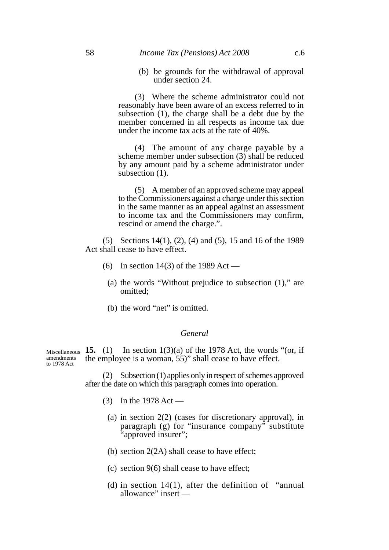### 58 *Income Tax (Pensions) Act 2008* c.6

(b) be grounds for the withdrawal of approval under section 24.

(3) Where the scheme administrator could not reasonably have been aware of an excess referred to in subsection (1), the charge shall be a debt due by the member concerned in all respects as income tax due under the income tax acts at the rate of 40%.

(4) The amount of any charge payable by a scheme member under subsection (3) shall be reduced by any amount paid by a scheme administrator under subsection  $(1)$ .

(5) A member of an approved scheme may appeal to the Commissioners against a charge under this section in the same manner as an appeal against an assessment to income tax and the Commissioners may confirm, rescind or amend the charge.".

(5) Sections 14(1), (2), (4) and (5), 15 and 16 of the 1989 Act shall cease to have effect.

- (6) In section 14(3) of the 1989 Act
	- (a) the words "Without prejudice to subsection (1)," are omitted;
	- (b) the word "net" is omitted.

### *General*

In section  $1(3)(a)$  of the 1978 Act, the words "(or, if the employee is a woman, 55)" shall cease to have effect. Miscellaneous  $15.$  (1) amendments to 1978 Act

> (2) Subsection (1) applies only in respect of schemes approved after the date on which this paragraph comes into operation.

- (3) In the 1978 Act
	- (a) in section 2(2) (cases for discretionary approval), in paragraph (g) for "insurance company" substitute "approved insurer";
	- (b) section 2(2A) shall cease to have effect;
	- (c) section 9(6) shall cease to have effect;
	- (d) in section  $14(1)$ , after the definition of "annual" allowance" insert —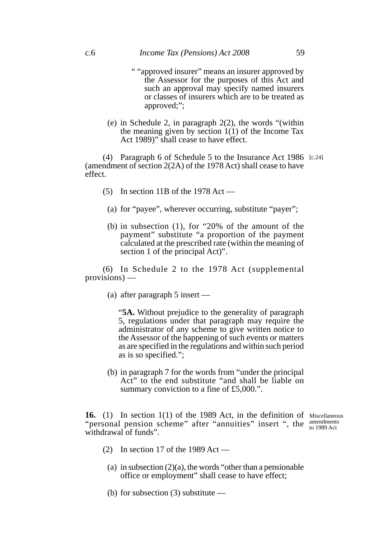- " "approved insurer" means an insurer approved by the Assessor for the purposes of this Act and such an approval may specify named insurers or classes of insurers which are to be treated as approved;";
- (e) in Schedule 2, in paragraph 2(2), the words "(within the meaning given by section 1(1) of the Income Tax Act 1989)" shall cease to have effect.

(4) Paragraph 6 of Schedule 5 to the Insurance Act 1986 [c.24] (amendment of section 2(2A) of the 1978 Act) shall cease to have effect.

- $(5)$  In section 11B of the 1978 Act
	- (a) for "payee", wherever occurring, substitute "payer";
	- (b) in subsection (1), for "20% of the amount of the payment" substitute "a proportion of the payment calculated at the prescribed rate (within the meaning of section 1 of the principal Act)".

(6) In Schedule 2 to the 1978 Act (supplemental provisions) —

(a) after paragraph 5 insert —

"**5A.** Without prejudice to the generality of paragraph 5, regulations under that paragraph may require the administrator of any scheme to give written notice to the Assessor of the happening of such events or matters as are specified in the regulations and within such period as is so specified.";

(b) in paragraph 7 for the words from "under the principal Act" to the end substitute "and shall be liable on summary conviction to a fine of £5,000.".

**16.** (1) In section 1(1) of the 1989 Act, in the definition of Miscellaneous "personal pension scheme" after "annuities" insert ", the  $_{\text{to 1989 Act}}$ withdrawal of funds". to 1989 Act

- (2) In section 17 of the 1989 Act
	- (a) in subsection  $(2)(a)$ , the words "other than a pensionable" office or employment" shall cease to have effect;
	- (b) for subsection (3) substitute —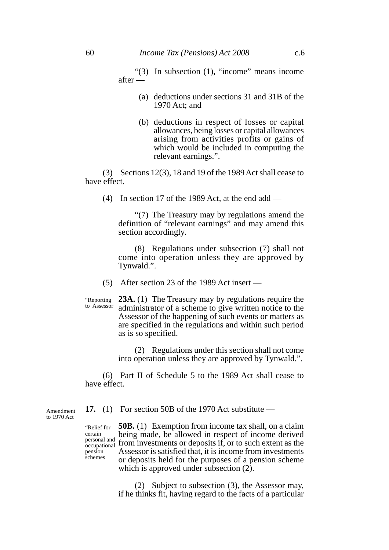"(3) In subsection (1), "income" means income after —

- (a) deductions under sections 31 and 31B of the 1970 Act; and
- (b) deductions in respect of losses or capital allowances, being losses or capital allowances arising from activities profits or gains of which would be included in computing the relevant earnings.".

(3) Sections 12(3), 18 and 19 of the 1989 Act shall cease to have effect.

(4) In section 17 of the 1989 Act, at the end add —

"(7) The Treasury may by regulations amend the definition of "relevant earnings" and may amend this section accordingly.

(8) Regulations under subsection (7) shall not come into operation unless they are approved by Tynwald.".

(5) After section 23 of the 1989 Act insert —

**23A.** (1) The Treasury may by regulations require the administrator of a scheme to give written notice to the Assessor of the happening of such events or matters as are specified in the regulations and within such period as is so specified. "Reporting to Assessor

> (2) Regulations under this section shall not come into operation unless they are approved by Tynwald.".

(6) Part II of Schedule 5 to the 1989 Act shall cease to have effect.

**17.** (1) For section 50B of the 1970 Act substitute —

Amendment to 1970 Act

> "Relief for certain<br>personal and occupational pension schemes

**50B.** (1) Exemption from income tax shall, on a claim being made, be allowed in respect of income derived personal and social matter, see this web in respect of medine derived Assessor is satisfied that, it is income from investments or deposits held for the purposes of a pension scheme which is approved under subsection  $(2)$ .

> (2) Subject to subsection (3), the Assessor may, if he thinks fit, having regard to the facts of a particular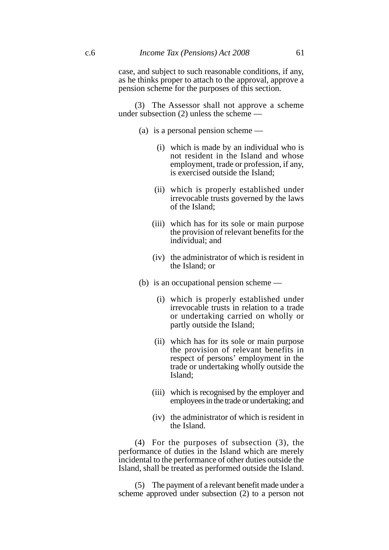(3) The Assessor shall not approve a scheme under subsection (2) unless the scheme —

- (a) is a personal pension scheme
	- (i) which is made by an individual who is not resident in the Island and whose employment, trade or profession, if any, is exercised outside the Island;
	- (ii) which is properly established under irrevocable trusts governed by the laws of the Island;
	- (iii) which has for its sole or main purpose the provision of relevant benefits for the individual; and
	- (iv) the administrator of which is resident in the Island; or
- (b) is an occupational pension scheme
	- (i) which is properly established under irrevocable trusts in relation to a trade or undertaking carried on wholly or partly outside the Island;
	- (ii) which has for its sole or main purpose the provision of relevant benefits in respect of persons' employment in the trade or undertaking wholly outside the Island;
	- (iii) which is recognised by the employer and employees in the trade or undertaking; and
	- (iv) the administrator of which is resident in the Island.

(4) For the purposes of subsection (3), the performance of duties in the Island which are merely incidental to the performance of other duties outside the Island, shall be treated as performed outside the Island.

(5) The payment of a relevant benefit made under a scheme approved under subsection (2) to a person not